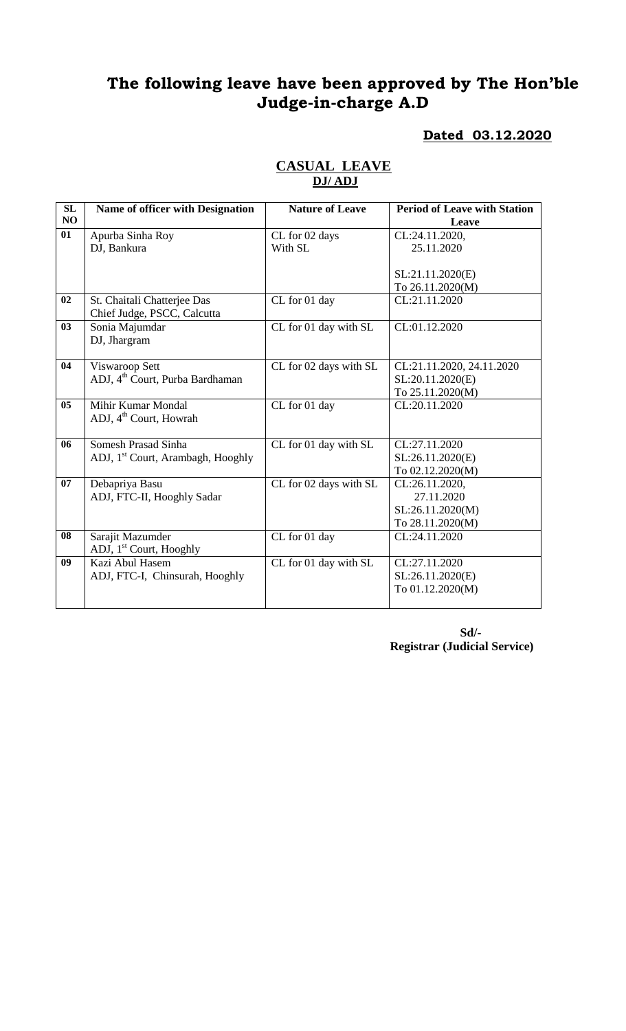# **The following leave have been approved by The Hon'ble Judge-in-charge A.D**

## **Dated 03.12.2020**

| SL             | <b>Name of officer with Designation</b>       | <b>Nature of Leave</b> | <b>Period of Leave with Station</b> |
|----------------|-----------------------------------------------|------------------------|-------------------------------------|
| NO             |                                               |                        | Leave                               |
| 01             | Apurba Sinha Roy                              | CL for 02 days         | CL:24.11.2020,                      |
|                | DJ, Bankura                                   | With SL                | 25.11.2020                          |
|                |                                               |                        |                                     |
|                |                                               |                        | SL:21.11.2020(E)                    |
|                |                                               |                        | To 26.11.2020(M)                    |
| 02             | St. Chaitali Chatterjee Das                   | CL for 01 day          | CL:21.11.2020                       |
|                | Chief Judge, PSCC, Calcutta                   |                        |                                     |
| 03             | Sonia Majumdar                                | CL for 01 day with SL  | CL:01.12.2020                       |
|                | DJ, Jhargram                                  |                        |                                     |
|                |                                               |                        |                                     |
| 04             | Viswaroop Sett                                | CL for 02 days with SL | CL:21.11.2020, 24.11.2020           |
|                | ADJ, 4 <sup>th</sup> Court, Purba Bardhaman   |                        | SL:20.11.2020(E)                    |
|                |                                               |                        | To 25.11.2020(M)                    |
| 0 <sub>5</sub> | Mihir Kumar Mondal                            | CL for 01 day          | CL:20.11.2020                       |
|                | ADJ, 4 <sup>th</sup> Court, Howrah            |                        |                                     |
|                |                                               |                        |                                     |
| 06             | Somesh Prasad Sinha                           | CL for 01 day with SL  | CL:27.11.2020                       |
|                | ADJ, 1 <sup>st</sup> Court, Arambagh, Hooghly |                        | SL:26.11.2020(E)                    |
|                |                                               |                        | To 02.12.2020(M)                    |
| 07             | Debapriya Basu                                | CL for 02 days with SL | CL:26.11.2020,                      |
|                | ADJ, FTC-II, Hooghly Sadar                    |                        | 27.11.2020                          |
|                |                                               |                        | SL:26.11.2020(M)                    |
|                |                                               |                        | To 28.11.2020(M)                    |
| 08             | Sarajit Mazumder                              | CL for 01 day          | CL:24.11.2020                       |
|                | ADJ, 1 <sup>st</sup> Court, Hooghly           |                        |                                     |
| 09             | Kazi Abul Hasem                               | CL for 01 day with SL  | CL:27.11.2020                       |
|                | ADJ, FTC-I, Chinsurah, Hooghly                |                        | SL:26.11.2020(E)                    |
|                |                                               |                        | To 01.12.2020(M)                    |
|                |                                               |                        |                                     |

## **CASUAL LEAVE DJ/ ADJ**

**Sd/- Registrar (Judicial Service)**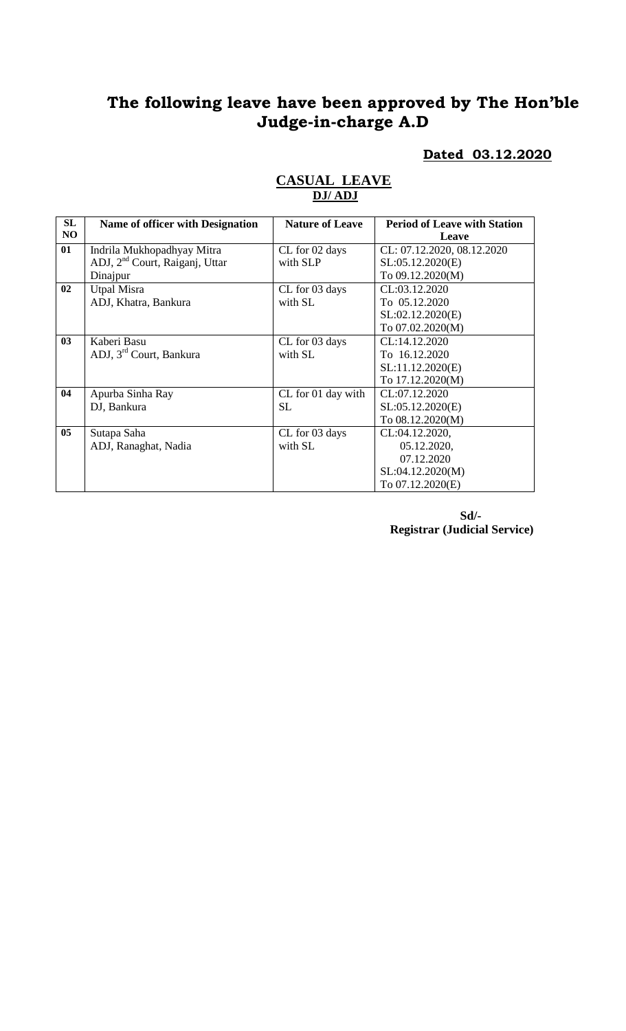# **The following leave have been approved by The Hon'ble Judge-in-charge A.D**

#### **Dated 03.12.2020**

| SL | <b>Name of officer with Designation</b>    | <b>Nature of Leave</b> | <b>Period of Leave with Station</b> |
|----|--------------------------------------------|------------------------|-------------------------------------|
| NO |                                            |                        | Leave                               |
| 01 | Indrila Mukhopadhyay Mitra                 | CL for 02 days         | CL: 07.12.2020, 08.12.2020          |
|    | ADJ, 2 <sup>nd</sup> Court, Raiganj, Uttar | with SLP               | SL:05.12.2020(E)                    |
|    | Dinajpur                                   |                        | To 09.12.2020(M)                    |
| 02 | <b>Utpal Misra</b>                         | CL for 03 days         | CL:03.12.2020                       |
|    | ADJ, Khatra, Bankura                       | with SL                | To 05.12.2020                       |
|    |                                            |                        | SL:02.12.2020(E)                    |
|    |                                            |                        | To 07.02.2020(M)                    |
| 03 | Kaberi Basu                                | CL for 03 days         | CL:14.12.2020                       |
|    | ADJ, 3 <sup>rd</sup> Court, Bankura        | with SL                | To 16.12.2020                       |
|    |                                            |                        | SL:11.12.2020(E)                    |
|    |                                            |                        | To 17.12.2020(M)                    |
| 04 | Apurba Sinha Ray                           | CL for 01 day with     | CL:07.12.2020                       |
|    | DJ, Bankura                                | <b>SL</b>              | SL:05.12.2020(E)                    |
|    |                                            |                        | To 08.12.2020(M)                    |
| 05 | Sutapa Saha                                | CL for 03 days         | CL:04.12.2020,                      |
|    | ADJ, Ranaghat, Nadia                       | with SL                | 05.12.2020,                         |
|    |                                            |                        | 07.12.2020                          |
|    |                                            |                        | SL:04.12.2020(M)                    |
|    |                                            |                        | To 07.12.2020(E)                    |

## **CASUAL LEAVE DJ/ ADJ**

**Sd/- Registrar (Judicial Service)**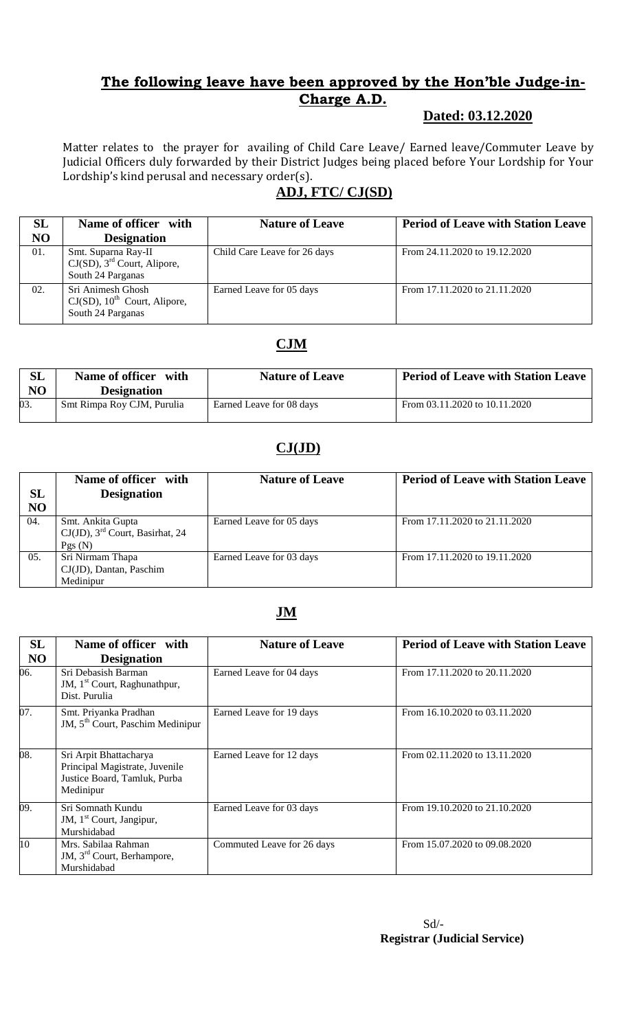## **The following leave have been approved by the Hon'ble Judge-in-Charge A.D.**

## **Dated: 03.12.2020**

Matter relates to the prayer for availing of Child Care Leave/ Earned leave/Commuter Leave by Judicial Officers duly forwarded by their District Judges being placed before Your Lordship for Your Lordship's kind perusal and necessary order(s).

# **ADJ, FTC/ CJ(SD)**

| <b>SL</b> | Name of officer with                                                                  | <b>Nature of Leave</b>       | <b>Period of Leave with Station Leave</b> |
|-----------|---------------------------------------------------------------------------------------|------------------------------|-------------------------------------------|
| NO        | <b>Designation</b>                                                                    |                              |                                           |
| 01.       | Smt. Suparna Ray-II<br>$CJ(SD)$ , $3rd$ Court, Alipore,<br>South 24 Parganas          | Child Care Leave for 26 days | From 24.11.2020 to 19.12.2020             |
| 02.       | Sri Animesh Ghosh<br>$CJ(SD)$ , 10 <sup>th</sup> Court, Alipore,<br>South 24 Parganas | Earned Leave for 05 days     | From 17.11.2020 to 21.11.2020             |

## **CJM**

| SL<br>NO | Name of officer with<br><b>Designation</b> | <b>Nature of Leave</b>   | <b>Period of Leave with Station Leave</b> |
|----------|--------------------------------------------|--------------------------|-------------------------------------------|
| 03.      | Smt Rimpa Roy CJM, Purulia                 | Earned Leave for 08 days | From 03.11.2020 to 10.11.2020             |

## **CJ(JD)**

| SL<br>NO | Name of officer with<br><b>Designation</b>                                    | <b>Nature of Leave</b>   | <b>Period of Leave with Station Leave</b> |
|----------|-------------------------------------------------------------------------------|--------------------------|-------------------------------------------|
| 04.      | Smt. Ankita Gupta<br>$CJ(JD)$ , 3 <sup>rd</sup> Court, Basirhat, 24<br>Pgs(N) | Earned Leave for 05 days | From 17.11.2020 to 21.11.2020             |
| 05.      | Sri Nirmam Thapa<br>$CJ(JD)$ , Dantan, Paschim<br>Medinipur                   | Earned Leave for 03 days | From 17.11.2020 to 19.11.2020             |

## **JM**

| SL             | Name of officer with                                                                                  | <b>Nature of Leave</b>     | <b>Period of Leave with Station Leave</b> |
|----------------|-------------------------------------------------------------------------------------------------------|----------------------------|-------------------------------------------|
| N <sub>O</sub> | <b>Designation</b>                                                                                    |                            |                                           |
| 06.            | Sri Debasish Barman<br>JM, 1 <sup>st</sup> Court, Raghunathpur,<br>Dist. Purulia                      | Earned Leave for 04 days   | From 17.11.2020 to 20.11.2020             |
| 07.            | Smt. Priyanka Pradhan<br>JM, 5 <sup>th</sup> Court, Paschim Medinipur                                 | Earned Leave for 19 days   | From 16.10.2020 to 03.11.2020             |
| 08.            | Sri Arpit Bhattacharya<br>Principal Magistrate, Juvenile<br>Justice Board, Tamluk, Purba<br>Medinipur | Earned Leave for 12 days   | From 02.11.2020 to 13.11.2020             |
| 09.            | Sri Somnath Kundu<br>JM, 1 <sup>st</sup> Court, Jangipur,<br>Murshidabad                              | Earned Leave for 03 days   | From 19.10.2020 to 21.10.2020             |
| 10             | Mrs. Sabilaa Rahman<br>JM, 3 <sup>rd</sup> Court, Berhampore,<br>Murshidabad                          | Commuted Leave for 26 days | From 15.07.2020 to 09.08.2020             |